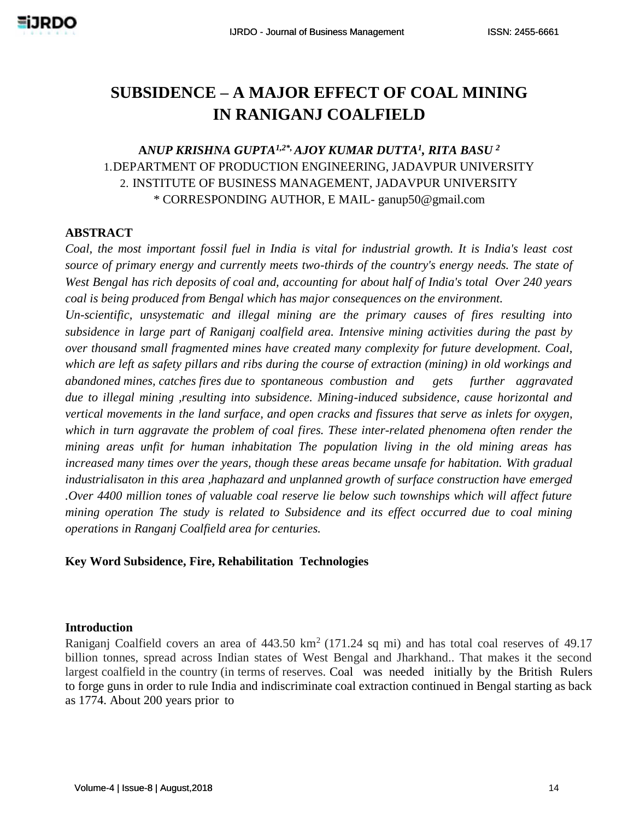# **SUBSIDENCE – A MAJOR EFFECT OF COAL MINING IN RANIGANJ COALFIELD**

## **A***NUP KRISHNA GUPTA1,2\*, AJOY KUMAR DUTTA<sup>1</sup> , RITA BASU <sup>2</sup>* 1.DEPARTMENT OF PRODUCTION ENGINEERING, JADAVPUR UNIVERSITY 2. INSTITUTE OF BUSINESS MANAGEMENT, JADAVPUR UNIVERSITY \* CORRESPONDING AUTHOR, E MAIL- [ganup50@gmail.com](mailto:ganup50@gmail.com)

### **ABSTRACT**

*Coal, the most important fossil fuel in India is vital for industrial growth. It is India's least cost source of primary energy and currently meets two-thirds of the country's energy needs. The state of West Bengal has rich deposits of coal and, accounting for about half of India's total Over 240 years coal is being produced from Bengal which has major consequences on the environment.*

*Un-scientific, unsystematic and illegal mining are the primary causes of fires resulting into subsidence in large part of Raniganj coalfield area. Intensive mining activities during the past by over thousand small fragmented mines have created many complexity for future development. Coal, which are left as safety pillars and ribs during the course of extraction (mining) in old workings and abandoned mines, catches fires due to spontaneous combustion and gets further aggravated due to illegal mining ,resulting into subsidence. Mining-induced subsidence, cause horizontal and vertical movements in the land surface, and open cracks and fissures that serve as inlets for oxygen, which in turn aggravate the problem of coal fires. These inter-related phenomena often render the mining areas unfit for human inhabitation The population living in the old mining areas has increased many times over the years, though these areas became unsafe for habitation. With gradual industrialisaton in this area ,haphazard and unplanned growth of surface construction have emerged .Over 4400 million tones of valuable coal reserve lie below such townships which will affect future mining operation The study is related to Subsidence and its effect occurred due to coal mining operations in Ranganj Coalfield area for centuries.*

#### **Key Word Subsidence, Fire, Rehabilitation Technologies**

#### **Introduction**

Raniganj Coalfield covers an area of  $443.50 \text{ km}^2$  (171.24 sq mi) and has total coal reserves of 49.17 billion tonnes, spread across Indian states of West Bengal and Jharkhand.. That makes it the second largest coalfield in the country (in terms of reserves. Coal was needed initially by the British Rulers to forge guns in order to rule India and indiscriminate coal extraction continued in Bengal starting as back as 1774. About 200 years prior to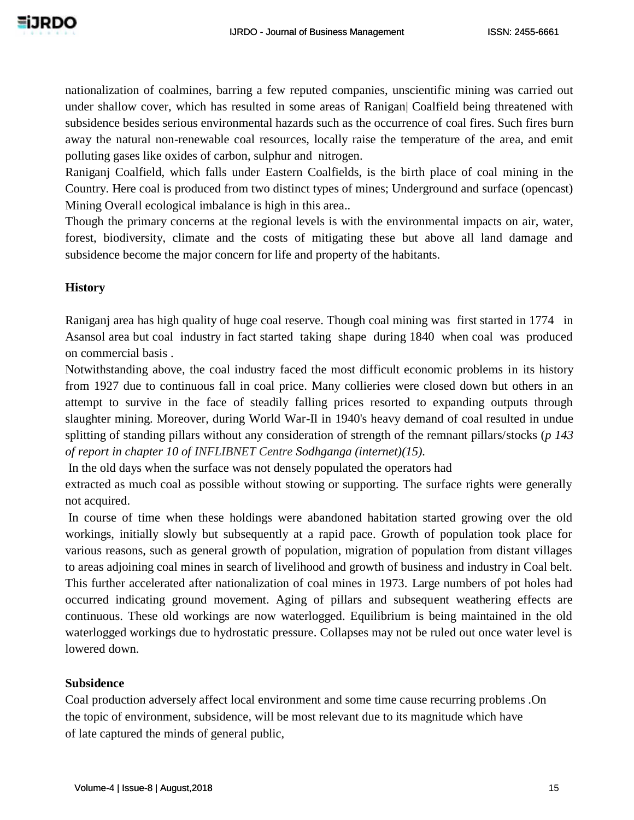nationalization of coalmines, barring a few reputed companies, unscientific mining was carried out under shallow cover, which has resulted in some areas of Ranigan| Coalfield being threatened with subsidence besides serious environmental hazards such as the occurrence of coal fires. Such fires burn away the natural non-renewable coal resources, locally raise the temperature of the area, and emit polluting gases like oxides of carbon, sulphur and nitrogen.

Raniganj Coalfield, which falls under Eastern Coalfields, is the birth place of coal mining in the Country. Here coal is produced from two distinct types of mines; Underground and surface (opencast) Mining Overall ecological imbalance is high in this area..

Though the primary concerns at the regional levels is with the environmental impacts on air, water, forest, biodiversity, climate and the costs of mitigating these but above all land damage and subsidence become the major concern for life and property of the habitants.

## **History**

Raniganj area has high quality of huge coal reserve. Though coal mining was first started in 1774 in Asansol area but coal industry in fact started taking shape during 1840 when coal was produced on commercial basis .

Notwithstanding above, the coal industry faced the most difficult economic problems in its history from 1927 due to continuous fall in coal price. Many collieries were closed down but others in an attempt to survive in the face of steadily falling prices resorted to expanding outputs through slaughter mining. Moreover, during World War-Il in 1940's heavy demand of coal resulted in undue splitting of standing pillars without any consideration of strength of the remnant pillars/stocks (*p 143 of report in chapter 10 of INFLIBNET Centre Sodhganga (internet)(15).*

In the old days when the surface was not densely populated the operators had

extracted as much coal as possible without stowing or supporting. The surface rights were generally not acquired.

In course of time when these holdings were abandoned habitation started growing over the old workings, initially slowly but subsequently at a rapid pace. Growth of population took place for various reasons, such as general growth of population, migration of population from distant villages to areas adjoining coal mines in search of livelihood and growth of business and industry in Coal belt. This further accelerated after nationalization of coal mines in 1973. Large numbers of pot holes had occurred indicating ground movement. Aging of pillars and subsequent weathering effects are continuous. These old workings are now waterlogged. Equilibrium is being maintained in the old waterlogged workings due to hydrostatic pressure. Collapses may not be ruled out once water level is lowered down.

## **Subsidence**

Coal production adversely affect local environment and some time cause recurring problems .On the topic of environment, subsidence, will be most relevant due to its magnitude which have of late captured the minds of general public,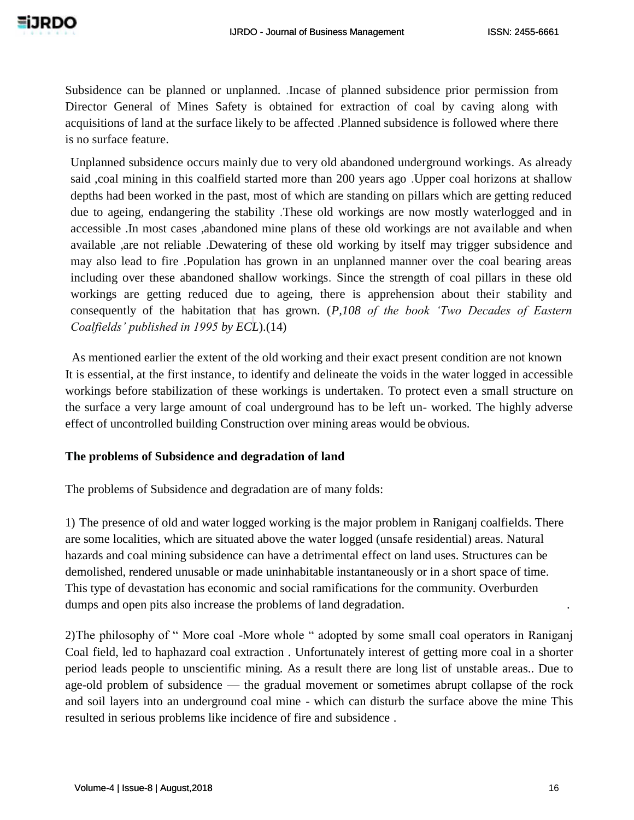Subsidence can be planned or unplanned. .Incase of planned subsidence prior permission from Director General of Mines Safety is obtained for extraction of coal by caving along with acquisitions of land at the surface likely to be affected .Planned subsidence is followed where there is no surface feature.

Unplanned subsidence occurs mainly due to very old abandoned underground workings. As already said ,coal mining in this coalfield started more than 200 years ago .Upper coal horizons at shallow depths had been worked in the past, most of which are standing on pillars which are getting reduced due to ageing, endangering the stability .These old workings are now mostly waterlogged and in accessible .In most cases ,abandoned mine plans of these old workings are not available and when available ,are not reliable .Dewatering of these old working by itself may trigger subsidence and may also lead to fire .Population has grown in an unplanned manner over the coal bearing areas including over these abandoned shallow workings. Since the strength of coal pillars in these old workings are getting reduced due to ageing, there is apprehension about their stability and consequently of the habitation that has grown. (*P,108 of the book 'Two Decades of Eastern Coalfields' published in 1995 by ECL*).(14)

As mentioned earlier the extent of the old working and their exact present condition are not known It is essential, at the first instance, to identify and delineate the voids in the water logged in accessible workings before stabilization of these workings is undertaken. To protect even a small structure on the surface a very large amount of coal underground has to be left un- worked. The highly adverse effect of uncontrolled building Construction over mining areas would be obvious.

#### **The problems of Subsidence and degradation of land**

The problems of Subsidence and degradation are of many folds:

1) The presence of old and water logged working is the major problem in Raniganj coalfields. There are some localities, which are situated above the water logged (unsafe residential) areas. Natural hazards and coal mining subsidence can have a detrimental effect on land uses. Structures can be demolished, rendered unusable or made uninhabitable instantaneously or in a short space of time. This type of devastation has economic and social ramifications for the community. Overburden dumps and open pits also increase the problems of land degradation.

2)The philosophy of " More coal -More whole " adopted by some small coal operators in Raniganj Coal field, led to haphazard coal extraction . Unfortunately interest of getting more coal in a shorter period leads people to unscientific mining. As a result there are long list of unstable areas.. Due to age-old problem of subsidence — the gradual movement or sometimes abrupt collapse of the rock and soil layers into an underground coal mine - which can disturb the surface above the mine This resulted in serious problems like incidence of fire and subsidence .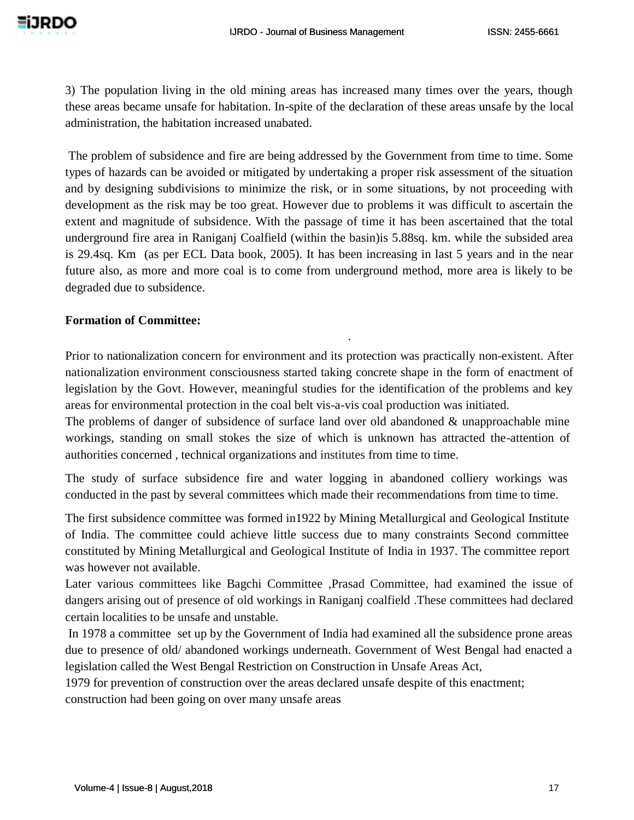3) The population living in the old mining areas has increased many times over the years, though these areas became unsafe for habitation. In-spite of the declaration of these areas unsafe by the local administration, the habitation increased unabated.

The problem of subsidence and fire are being addressed by the Government from time to time. Some types of hazards can be avoided or mitigated by undertaking a proper risk assessment of the situation and by designing subdivisions to minimize the risk, or in some situations, by not proceeding with development as the risk may be too great. However due to problems it was difficult to ascertain the extent and magnitude of subsidence. With the passage of time it has been ascertained that the total underground fire area in Raniganj Coalfield (within the basin)is 5.88sq. km. while the subsided area is 29.4sq. Km (as per ECL Data book, 2005). It has been increasing in last 5 years and in the near future also, as more and more coal is to come from underground method, more area is likely to be degraded due to subsidence.

#### **Formation of Committee:**

Prior to nationalization concern for environment and its protection was practically non-existent. After nationalization environment consciousness started taking concrete shape in the form of enactment of legislation by the Govt. However, meaningful studies for the identification of the problems and key areas for environmental protection in the coal belt vis-a-vis coal production was initiated.

.

The problems of danger of subsidence of surface land over old abandoned & unapproachable mine workings, standing on small stokes the size of which is unknown has attracted the-attention of authorities concerned , technical organizations and institutes from time to time.

The study of surface subsidence fire and water logging in abandoned colliery workings was conducted in the past by several committees which made their recommendations from time to time.

The first subsidence committee was formed in1922 by Mining Metallurgical and Geological Institute of India. The committee could achieve little success due to many constraints Second committee constituted by Mining Metallurgical and Geological Institute of India in 1937. The committee report was however not available.

Later various committees like Bagchi Committee ,Prasad Committee, had examined the issue of dangers arising out of presence of old workings in Raniganj coalfield .These committees had declared certain localities to be unsafe and unstable.

In 1978 a committee set up by the Government of India had examined all the subsidence prone areas due to presence of old/ abandoned workings underneath. Government of West Bengal had enacted a legislation called the West Bengal Restriction on Construction in Unsafe Areas Act,

1979 for prevention of construction over the areas declared unsafe despite of this enactment;

construction had been going on over many unsafe areas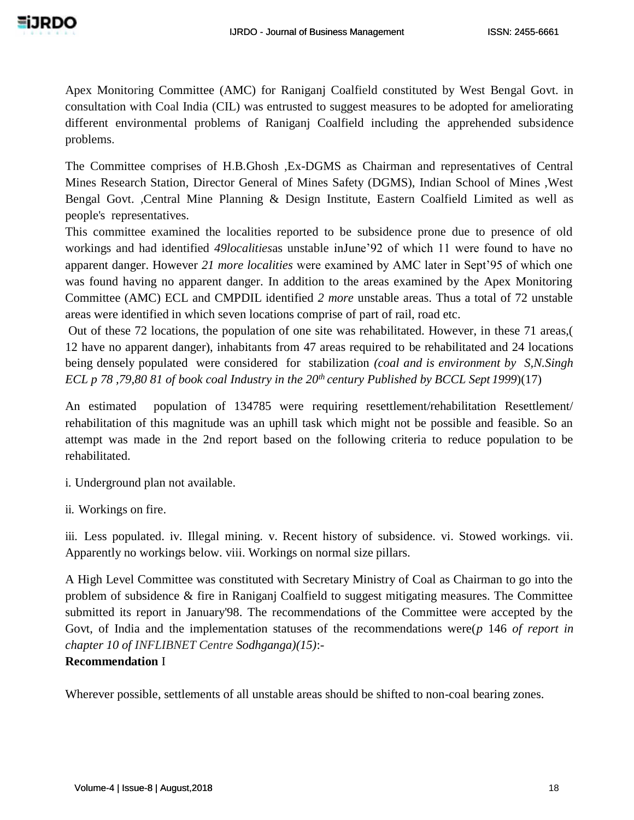Apex Monitoring Committee (AMC) for Raniganj Coalfield constituted by West Bengal Govt. in consultation with Coal India (CIL) was entrusted to suggest measures to be adopted for ameliorating different environmental problems of Raniganj Coalfield including the apprehended subsidence problems.

The Committee comprises of H.B.Ghosh ,Ex-DGMS as Chairman and representatives of Central Mines Research Station, Director General of Mines Safety (DGMS), Indian School of Mines ,West Bengal Govt. ,Central Mine Planning & Design Institute, Eastern Coalfield Limited as well as people's representatives.

This committee examined the localities reported to be subsidence prone due to presence of old workings and had identified *49localities*as unstable inJune'92 of which 11 were found to have no apparent danger. However *21 more localities* were examined by AMC later in Sept'95 of which one was found having no apparent danger. In addition to the areas examined by the Apex Monitoring Committee (AMC) ECL and CMPDIL identified *2 more* unstable areas. Thus a total of 72 unstable areas were identified in which seven locations comprise of part of rail, road etc.

Out of these 72 locations, the population of one site was rehabilitated. However, in these 71 areas,( 12 have no apparent danger), inhabitants from 47 areas required to be rehabilitated and 24 locations being densely populated were considered for stabilization *(coal and is environment by S,N.Singh ECL p 78 ,79,80 81 of book coal Industry in the 20th century Published by BCCL Sept 1999*)(17)

An estimated population of 134785 were requiring resettlement/rehabilitation Resettlement/ rehabilitation of this magnitude was an uphill task which might not be possible and feasible. So an attempt was made in the 2nd report based on the following criteria to reduce population to be rehabilitated.

i. Underground plan not available.

ii. Workings on fire.

iii. Less populated. iv. Illegal mining. v. Recent history of subsidence. vi. Stowed workings. vii. Apparently no workings below. viii. Workings on normal size pillars.

A High Level Committee was constituted with Secretary Ministry of Coal as Chairman to go into the problem of subsidence & fire in Raniganj Coalfield to suggest mitigating measures. The Committee submitted its report in January'98. The recommendations of the Committee were accepted by the Govt, of India and the implementation statuses of the recommendations were(*p* 146 *of report in chapter 10 of INFLIBNET Centre Sodhganga)(15)*:-

## **Recommendation** I

Wherever possible, settlements of all unstable areas should be shifted to non-coal bearing zones.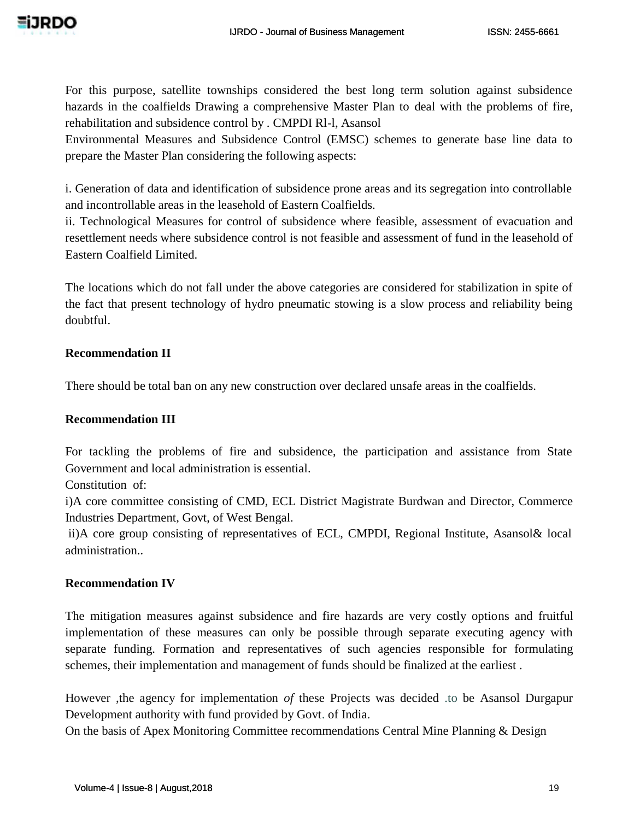For this purpose, satellite townships considered the best long term solution against subsidence hazards in the coalfields Drawing a comprehensive Master Plan to deal with the problems of fire, rehabilitation and subsidence control by . CMPDI Rl-l, Asansol

Environmental Measures and Subsidence Control (EMSC) schemes to generate base line data to prepare the Master Plan considering the following aspects:

i. Generation of data and identification of subsidence prone areas and its segregation into controllable and incontrollable areas in the leasehold of Eastern Coalfields.

ii. Technological Measures for control of subsidence where feasible, assessment of evacuation and resettlement needs where subsidence control is not feasible and assessment of fund in the leasehold of Eastern Coalfield Limited.

The locations which do not fall under the above categories are considered for stabilization in spite of the fact that present technology of hydro pneumatic stowing is a slow process and reliability being doubtful.

## **Recommendation II**

There should be total ban on any new construction over declared unsafe areas in the coalfields.

## **Recommendation III**

For tackling the problems of fire and subsidence, the participation and assistance from State Government and local administration is essential.

Constitution of:

i)A core committee consisting of CMD, ECL District Magistrate Burdwan and Director, Commerce Industries Department, Govt, of West Bengal.

ii)A core group consisting of representatives of ECL, CMPDI, Regional Institute, Asansol& local administration..

## **Recommendation IV**

The mitigation measures against subsidence and fire hazards are very costly options and fruitful implementation of these measures can only be possible through separate executing agency with separate funding. Formation and representatives of such agencies responsible for formulating schemes, their implementation and management of funds should be finalized at the earliest .

However ,the agency for implementation *of* these Projects was decided .to be Asansol Durgapur Development authority with fund provided by Govt. of India.

On the basis of Apex Monitoring Committee recommendations Central Mine Planning & Design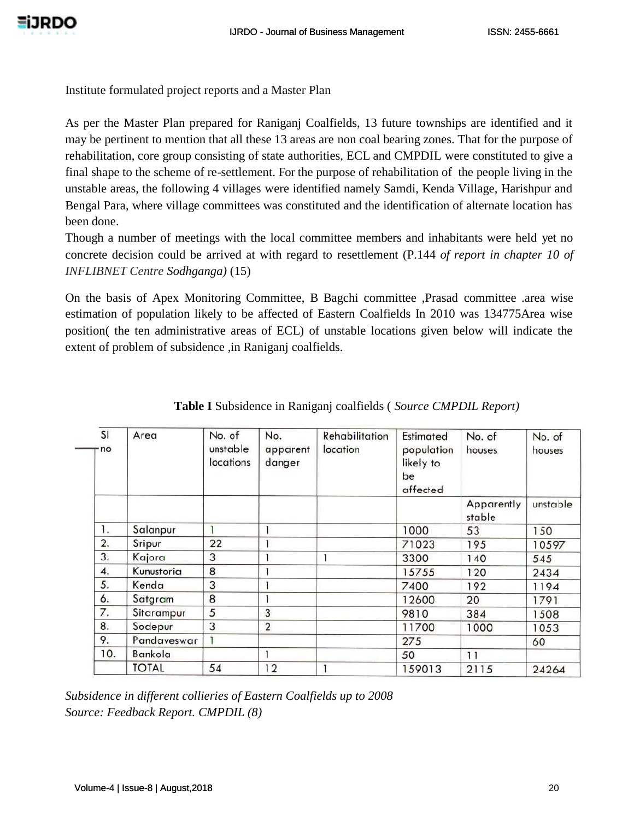Institute formulated project reports and a Master Plan

As per the Master Plan prepared for Raniganj Coalfields, 13 future townships are identified and it may be pertinent to mention that all these 13 areas are non coal bearing zones. That for the purpose of rehabilitation, core group consisting of state authorities, ECL and CMPDIL were constituted to give a final shape to the scheme of re-settlement. For the purpose of rehabilitation of the people living in the unstable areas, the following 4 villages were identified namely Samdi, Kenda Village, Harishpur and Bengal Para, where village committees was constituted and the identification of alternate location has been done.

Though a number of meetings with the local committee members and inhabitants were held yet no concrete decision could be arrived at with regard to resettlement (P.144 *of report in chapter 10 of INFLIBNET Centre Sodhganga)* (15)

On the basis of Apex Monitoring Committee, B Bagchi committee ,Prasad committee .area wise estimation of population likely to be affected of Eastern Coalfields In 2010 was 134775Area wise position( the ten administrative areas of ECL) of unstable locations given below will indicate the extent of problem of subsidence ,in Raniganj coalfields.

| SI<br>· no | Area         | No. of<br>unstable<br>locations | No.<br>apparent<br>danger | <b>Rehabilitation</b><br>location | Estimated<br>population<br>likely to<br>be<br>affected | No. of<br>houses     | No. of<br>houses |
|------------|--------------|---------------------------------|---------------------------|-----------------------------------|--------------------------------------------------------|----------------------|------------------|
|            |              |                                 |                           |                                   |                                                        | Apparently<br>stable | unstable         |
| 1.         | Salanpur     |                                 |                           |                                   | 1000                                                   | 53                   | 150              |
| 2.         | Sripur       | 22                              |                           |                                   | 71023                                                  | 195                  | 10597            |
| 3.         | Kajora       | 3                               |                           |                                   | 3300                                                   | 140                  | 545              |
| 4.         | Kunustoria   | 8                               |                           |                                   | 15755                                                  | 120                  | 2434             |
| 5.         | Kenda        | 3                               |                           |                                   | 7400                                                   | 192                  | 1194             |
| 6.         | Satgram      | 8                               |                           |                                   | 12600                                                  | 20                   | 1791             |
| 7.         | Sitarampur   | 5                               | 3                         |                                   | 9810                                                   | 384                  | 1508             |
| 8.         | Sodepur      | 3                               | $\overline{2}$            |                                   | 11700                                                  | 1000                 | 1053             |
| 9.         | Pandaveswar  |                                 |                           |                                   | 275                                                    |                      | 60               |
| 10.        | Bankola      |                                 |                           |                                   | 50                                                     | 11                   |                  |
|            | <b>TOTAL</b> | 54                              | 12                        |                                   | 159013                                                 | 2115                 | 24264            |

|  | Table I Subsidence in Raniganj coalfields (Source CMPDIL Report) |  |  |  |  |  |
|--|------------------------------------------------------------------|--|--|--|--|--|
|--|------------------------------------------------------------------|--|--|--|--|--|

*Subsidence in different collieries of Eastern Coalfields up to 2008 Source: Feedback Report. CMPDIL (8)*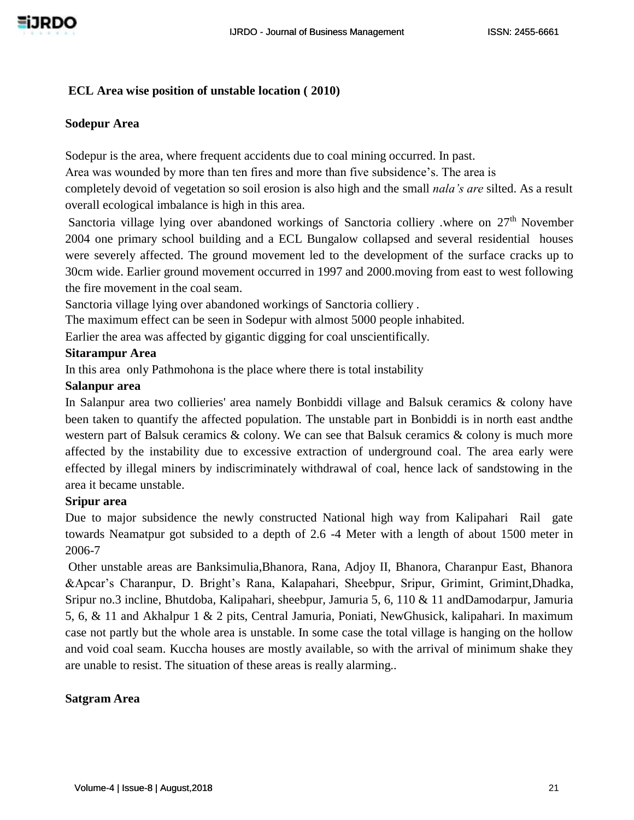### **ECL Area wise position of unstable location ( 2010)**

#### **Sodepur Area**

Sodepur is the area, where frequent accidents due to coal mining occurred. In past.

Area was wounded by more than ten fires and more than five subsidence's. The area is

completely devoid of vegetation so soil erosion is also high and the small *nala's are* silted. As a result overall ecological imbalance is high in this area.

Sanctoria village lying over abandoned workings of Sanctoria colliery .where on 27<sup>th</sup> November 2004 one primary school building and a ECL Bungalow collapsed and several residential houses were severely affected. The ground movement led to the development of the surface cracks up to 30cm wide. Earlier ground movement occurred in 1997 and 2000.moving from east to west following the fire movement in the coal seam.

Sanctoria village lying over abandoned workings of Sanctoria colliery .

The maximum effect can be seen in Sodepur with almost 5000 people inhabited.

Earlier the area was affected by gigantic digging for coal unscientifically.

#### **Sitarampur Area**

In this area only Pathmohona is the place where there is total instability

#### **Salanpur area**

In Salanpur area two collieries' area namely Bonbiddi village and Balsuk ceramics & colony have been taken to quantify the affected population. The unstable part in Bonbiddi is in north east andthe western part of Balsuk ceramics & colony. We can see that Balsuk ceramics & colony is much more affected by the instability due to excessive extraction of underground coal. The area early were effected by illegal miners by indiscriminately withdrawal of coal, hence lack of sandstowing in the area it became unstable.

## **Sripur area**

Due to major subsidence the newly constructed National high way from Kalipahari Rail gate towards Neamatpur got subsided to a depth of 2.6 -4 Meter with a length of about 1500 meter in 2006-7

Other unstable areas are Banksimulia,Bhanora, Rana, Adjoy II, Bhanora, Charanpur East, Bhanora &Apcar's Charanpur, D. Bright's Rana, Kalapahari, Sheebpur, Sripur, Grimint, Grimint,Dhadka, Sripur no.3 incline, Bhutdoba, Kalipahari, sheebpur, Jamuria 5, 6, 110 & 11 andDamodarpur, Jamuria 5, 6, & 11 and Akhalpur 1 & 2 pits, Central Jamuria, Poniati, NewGhusick, kalipahari. In maximum case not partly but the whole area is unstable. In some case the total village is hanging on the hollow and void coal seam. Kuccha houses are mostly available, so with the arrival of minimum shake they are unable to resist. The situation of these areas is really alarming..

## **Satgram Area**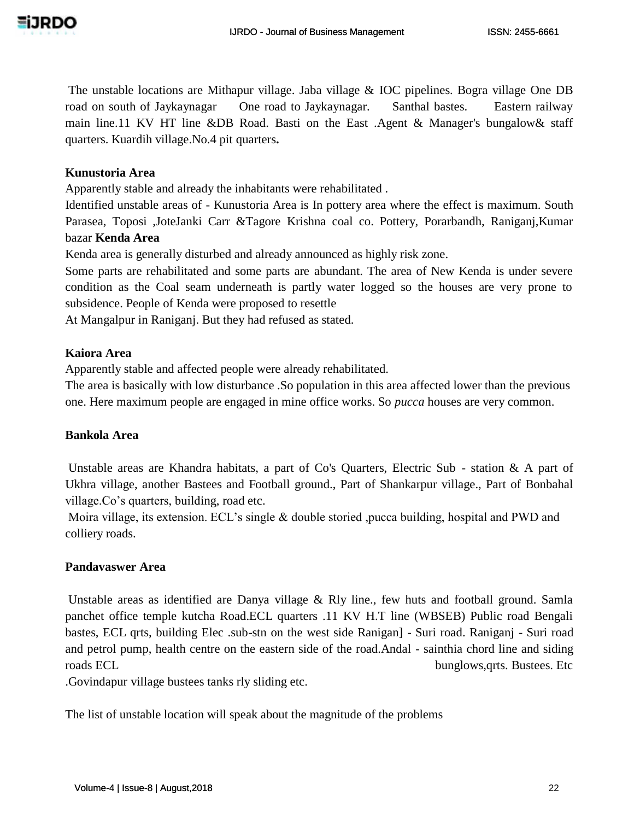The unstable locations are Mithapur village. Jaba village & IOC pipelines. Bogra village One DB road on south of Jaykaynagar One road to Jaykaynagar. Santhal bastes. Eastern railway main line.11 KV HT line &DB Road. Basti on the East .Agent & Manager's bungalow& staff quarters. Kuardih village.No.4 pit quarters**.**

## **Kunustoria Area**

Apparently stable and already the inhabitants were rehabilitated .

Identified unstable areas of - Kunustoria Area is In pottery area where the effect is maximum. South Parasea, Toposi ,JoteJanki Carr &Tagore Krishna coal co. Pottery, Porarbandh, Raniganj,Kumar bazar **Kenda Area**

Kenda area is generally disturbed and already announced as highly risk zone.

Some parts are rehabilitated and some parts are abundant. The area of New Kenda is under severe condition as the Coal seam underneath is partly water logged so the houses are very prone to subsidence. People of Kenda were proposed to resettle

At Mangalpur in Raniganj. But they had refused as stated.

### **Kaiora Area**

Apparently stable and affected people were already rehabilitated.

The area is basically with low disturbance .So population in this area affected lower than the previous one. Here maximum people are engaged in mine office works. So *pucca* houses are very common.

#### **Bankola Area**

Unstable areas are Khandra habitats, a part of Co's Quarters, Electric Sub - station & A part of Ukhra village, another Bastees and Football ground., Part of Shankarpur village., Part of Bonbahal village.Co's quarters, building, road etc.

Moira village, its extension. ECL's single & double storied ,pucca building, hospital and PWD and colliery roads.

## **Pandavaswer Area**

Unstable areas as identified are Danya village & Rly line., few huts and football ground. Samla panchet office temple kutcha Road.ECL quarters .11 KV H.T line (WBSEB) Public road Bengali bastes, ECL qrts, building Elec .sub-stn on the west side Ranigan] - Suri road. Raniganj - Suri road and petrol pump, health centre on the eastern side of the road.Andal - sainthia chord line and siding roads ECL bunglows, qrts. Bustees. Etc

.Govindapur village bustees tanks rly sliding etc.

The list of unstable location will speak about the magnitude of the problems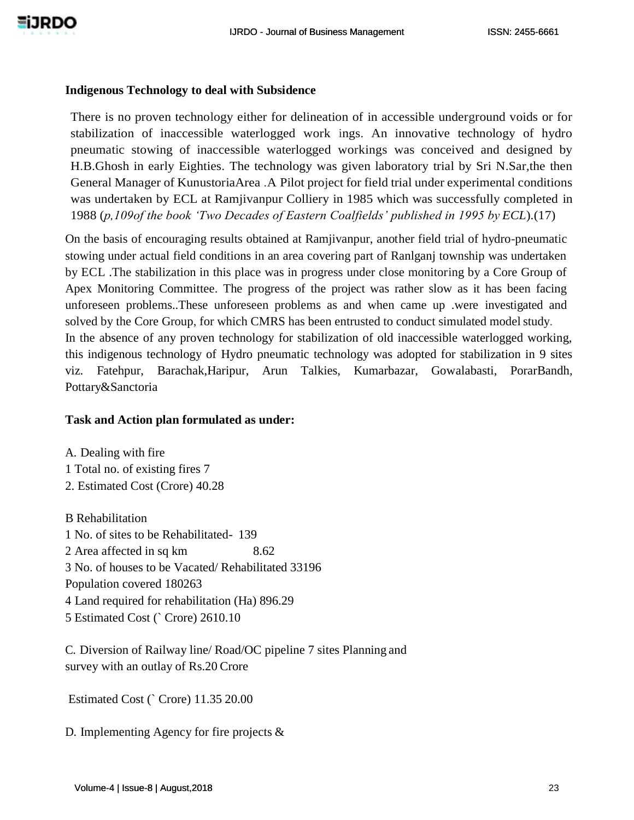#### **Indigenous Technology to deal with Subsidence**

There is no proven technology either for delineation of in accessible underground voids or for stabilization of inaccessible waterlogged work ings. An innovative technology of hydro pneumatic stowing of inaccessible waterlogged workings was conceived and designed by H.B.Ghosh in early Eighties. The technology was given laboratory trial by Sri N.Sar,the then General Manager of KunustoriaArea .A Pilot project for field trial under experimental conditions was undertaken by ECL at Ramjivanpur Colliery in 1985 which was successfully completed in 1988 (*p,109of the book 'Two Decades of Eastern Coalfields' published in 1995 by ECL*).(17)

On the basis of encouraging results obtained at Ramjivanpur, another field trial of hydro-pneumatic stowing under actual field conditions in an area covering part of Ranlganj township was undertaken by ECL .The stabilization in this place was in progress under close monitoring by a Core Group of Apex Monitoring Committee. The progress of the project was rather slow as it has been facing unforeseen problems..These unforeseen problems as and when came up .were investigated and solved by the Core Group, for which CMRS has been entrusted to conduct simulated model study. In the absence of any proven technology for stabilization of old inaccessible waterlogged working, this indigenous technology of Hydro pneumatic technology was adopted for stabilization in 9 sites viz. Fatehpur, Barachak,Haripur, Arun Talkies, Kumarbazar, Gowalabasti, PorarBandh, Pottary&Sanctoria

## **Task and Action plan formulated as under:**

A. Dealing with fire 1 Total no. of existing fires 7 2. Estimated Cost (Crore) 40.28

B Rehabilitation 1 No. of sites to be Rehabilitated- 139 2 Area affected in sq km 8.62 3 No. of houses to be Vacated/ Rehabilitated 33196 Population covered 180263 4 Land required for rehabilitation (Ha) 896.29 5 Estimated Cost (` Crore) 2610.10

C. Diversion of Railway line/ Road/OC pipeline 7 sites Planning and survey with an outlay of Rs.20 Crore

Estimated Cost (` Crore) 11.35 20.00

D. Implementing Agency for fire projects &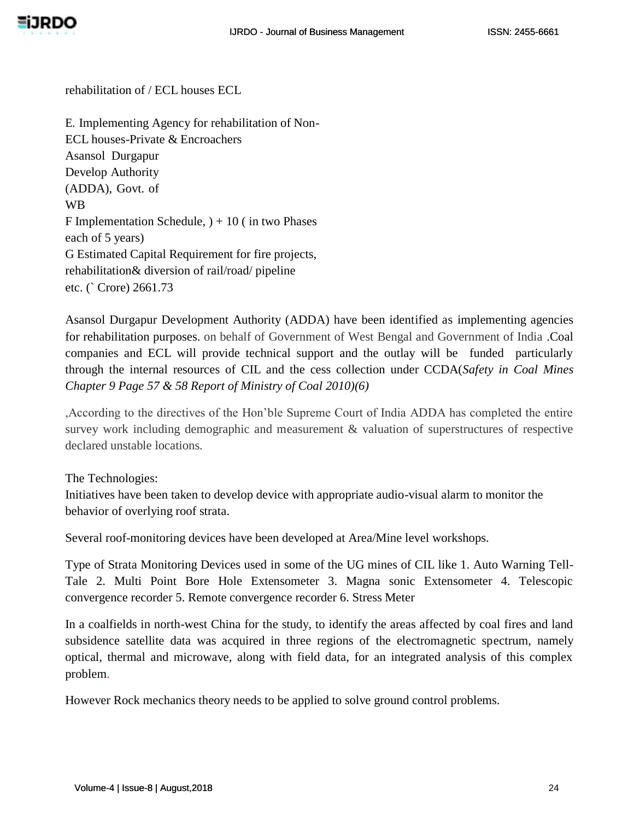rehabilitation of / ECL houses ECL

E. Implementing Agency for rehabilitation of Non-ECL houses-Private & Encroachers Asansol Durgapur Develop Authority (ADDA), Govt. of WB F Implementation Schedule,  $)+10$  (in two Phases each of 5 years) G Estimated Capital Requirement for fire projects, rehabilitation& diversion of rail/road/ pipeline etc. (` Crore) 2661.73

Asansol Durgapur Development Authority (ADDA) have been identified as implementing agencies for rehabilitation purposes. on behalf of Government of West Bengal and Government of India .Coal companies and ECL will provide technical support and the outlay will be funded particularly through the internal resources of CIL and the cess collection under CCDA(*Safety in Coal Mines Chapter 9 Page 57 & 58 Report of Ministry of Coal 2010)(6)*

,According to the directives of the Hon'ble Supreme Court of India ADDA has completed the entire survey work including demographic and measurement & valuation of superstructures of respective declared unstable locations.

The Technologies:

Initiatives have been taken to develop device with appropriate audio-visual alarm to monitor the behavior of overlying roof strata.

Several roof-monitoring devices have been developed at Area/Mine level workshops.

Type of Strata Monitoring Devices used in some of the UG mines of CIL like 1. Auto Warning Tell-Tale 2. Multi Point Bore Hole Extensometer 3. Magna sonic Extensometer 4. Telescopic convergence recorder 5. Remote convergence recorder 6. Stress Meter

In a coalfields in north-west China for the study, to identify the areas affected by coal fires and land subsidence satellite data was acquired in three regions of the electromagnetic spectrum, namely optical, thermal and microwave, along with field data, for an integrated analysis of this complex problem.

However Rock mechanics theory needs to be applied to solve ground control problems.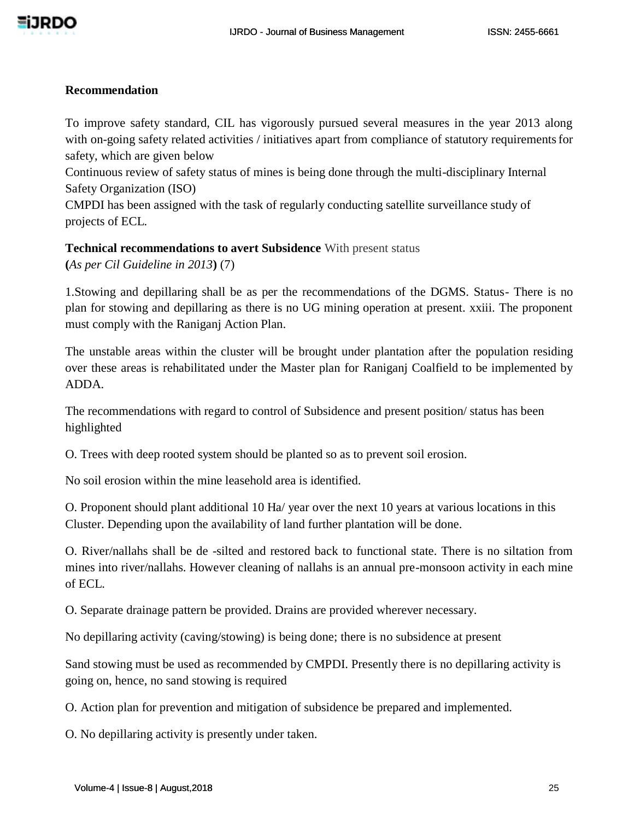

#### **Recommendation**

To improve safety standard, CIL has vigorously pursued several measures in the year 2013 along with on-going safety related activities / initiatives apart from compliance of statutory requirements for safety, which are given below

Continuous review of safety status of mines is being done through the multi-disciplinary Internal Safety Organization (ISO)

CMPDI has been assigned with the task of regularly conducting satellite surveillance study of projects of ECL.

**Technical recommendations to avert Subsidence** With present status

**(***As per Cil Guideline in 2013***)** (7)

1.Stowing and depillaring shall be as per the recommendations of the DGMS. Status- There is no plan for stowing and depillaring as there is no UG mining operation at present. xxiii. The proponent must comply with the Raniganj Action Plan.

The unstable areas within the cluster will be brought under plantation after the population residing over these areas is rehabilitated under the Master plan for Raniganj Coalfield to be implemented by ADDA.

The recommendations with regard to control of Subsidence and present position/ status has been highlighted

O. Trees with deep rooted system should be planted so as to prevent soil erosion.

No soil erosion within the mine leasehold area is identified.

O. Proponent should plant additional 10 Ha/ year over the next 10 years at various locations in this Cluster. Depending upon the availability of land further plantation will be done.

O. River/nallahs shall be de -silted and restored back to functional state. There is no siltation from mines into river/nallahs. However cleaning of nallahs is an annual pre-monsoon activity in each mine of ECL.

O. Separate drainage pattern be provided. Drains are provided wherever necessary.

No depillaring activity (caving/stowing) is being done; there is no subsidence at present

Sand stowing must be used as recommended by CMPDI. Presently there is no depillaring activity is going on, hence, no sand stowing is required

O. Action plan for prevention and mitigation of subsidence be prepared and implemented.

O. No depillaring activity is presently under taken.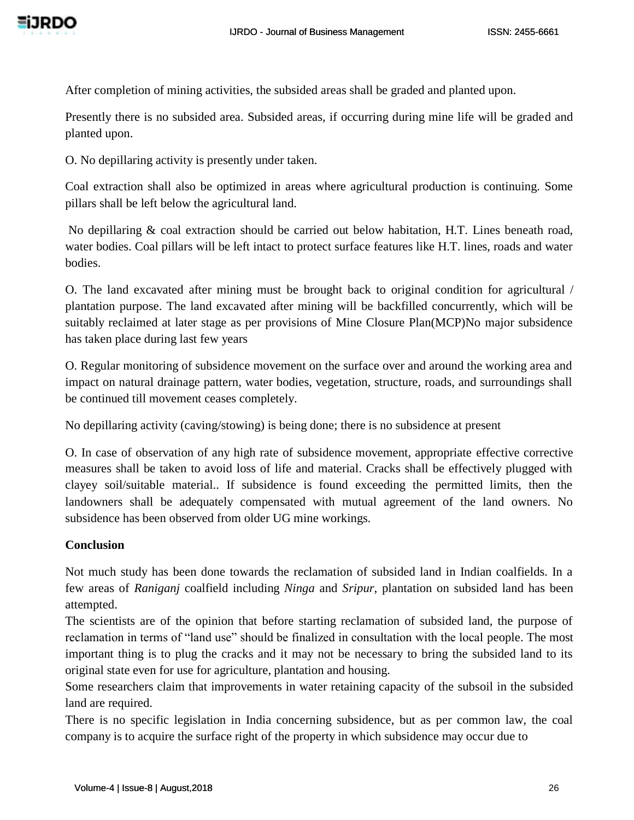After completion of mining activities, the subsided areas shall be graded and planted upon.

Presently there is no subsided area. Subsided areas, if occurring during mine life will be graded and planted upon.

O. No depillaring activity is presently under taken.

Coal extraction shall also be optimized in areas where agricultural production is continuing. Some pillars shall be left below the agricultural land.

No depillaring & coal extraction should be carried out below habitation, H.T. Lines beneath road, water bodies. Coal pillars will be left intact to protect surface features like H.T. lines, roads and water bodies.

O. The land excavated after mining must be brought back to original condition for agricultural / plantation purpose. The land excavated after mining will be backfilled concurrently, which will be suitably reclaimed at later stage as per provisions of Mine Closure Plan(MCP)No major subsidence has taken place during last few years

O. Regular monitoring of subsidence movement on the surface over and around the working area and impact on natural drainage pattern, water bodies, vegetation, structure, roads, and surroundings shall be continued till movement ceases completely.

No depillaring activity (caving/stowing) is being done; there is no subsidence at present

O. In case of observation of any high rate of subsidence movement, appropriate effective corrective measures shall be taken to avoid loss of life and material. Cracks shall be effectively plugged with clayey soil/suitable material.. If subsidence is found exceeding the permitted limits, then the landowners shall be adequately compensated with mutual agreement of the land owners. No subsidence has been observed from older UG mine workings.

## **Conclusion**

Not much study has been done towards the reclamation of subsided land in Indian coalfields. In a few areas of *Raniganj* coalfield including *Ninga* and *Sripur*, plantation on subsided land has been attempted.

The scientists are of the opinion that before starting reclamation of subsided land, the purpose of reclamation in terms of "land use" should be finalized in consultation with the local people. The most important thing is to plug the cracks and it may not be necessary to bring the subsided land to its original state even for use for agriculture, plantation and housing.

Some researchers claim that improvements in water retaining capacity of the subsoil in the subsided land are required.

There is no specific legislation in India concerning subsidence, but as per common law, the coal company is to acquire the surface right of the property in which subsidence may occur due to